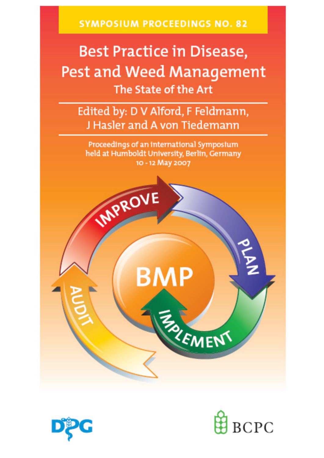**SYMPOSIUM PROCEEDINGS NO. 82** 

# **Best Practice in Disease,** Pest and Weed Management The State of the Art

Edited by: D V Alford, F Feldmann, J Hasler and A von Tiedemann

Proceedings of an international Symposium held at Humboldt University, Berlin, Germany 10 - 12 May 2007





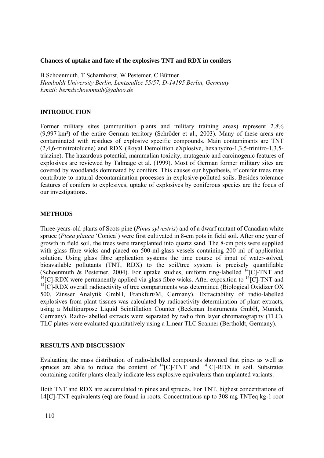#### **Chances of uptake and fate of the explosives TNT and RDX in conifers**

B Schoenmuth, T Scharnhorst, W Pestemer, C Büttner *Humboldt University Berlin, Lentzeallee 55/57, D-14195 Berlin, Germany Email: berndschoenmuth@yahoo.de* 

## **INTRODUCTION**

Former military sites (ammunition plants and military training areas) represent 2.8% (9,997 km²) of the entire German territory (Schröder et al., 2003). Many of these areas are contaminated with residues of explosive specific compounds. Main contaminants are TNT (2,4,6-trinitrotoluene) and RDX (Royal Demolition eXplosive, hexahydro-1,3,5-trinitro-1,3,5 triazine). The hazardous potential, mammalian toxicity, mutagenic and carcinogenic features of explosives are reviewed by Talmage et al. (1999). Most of German former military sites are covered by woodlands dominated by conifers. This causes our hypothesis, if conifer trees may contribute to natural decontamination processes in explosive-polluted soils. Besides tolerance features of conifers to explosives, uptake of explosives by coniferous species are the focus of our investigations.

## **METHODS**

Three-years-old plants of Scots pine (*Pinus sylvestris*) and of a dwarf mutant of Canadian white spruce (*Picea glauca* 'Conica') were first cultivated in 8-cm pots in field soil. After one year of growth in field soil, the trees were transplanted into quartz sand. The 8-cm pots were supplied with glass fibre wicks and placed on 500-ml-glass vessels containing 200 ml of application solution. Using glass fibre application systems the time course of input of water-solved, bioavailable pollutants (TNT, RDX) to the soil/tree system is precisely quantifiable (Schoenmuth & Pestemer, 2004). For uptake studies, uniform ring-labelled 14[C]-TNT and <sup>14</sup>[C]-RDX were permanently applied via glass fibre wicks. After exposition to <sup>14</sup>[C]-TNT and  $14$ <sup>[C]</sup>-RDX overall radioactivity of tree compartments was determined (Biological Oxidizer OX) 500, Zinsser Analytik GmbH, Frankfurt/M, Germany). Extractability of radio-labelled explosives from plant tissues was calculated by radioactivity determination of plant extracts, using a Multipurpose Liquid Scintillation Counter (Beckman Instruments GmbH, Munich, Germany). Radio-labelled extracts were separated by radio thin layer chromatography (TLC). TLC plates were evaluated quantitatively using a Linear TLC Scanner (Bertholdt, Germany).

### **RESULTS AND DISCUSSION**

Evaluating the mass distribution of radio-labelled compounds showned that pines as well as spruces are able to reduce the content of  $^{14}$ [C]-TNT and  $^{14}$ [C]-RDX in soil. Substrates containing conifer plants clearly indicate less explosive equivalents than unplanted variants.

Both TNT and RDX are accumulated in pines and spruces. For TNT, highest concentrations of 14[C]-TNT equivalents (eq) are found in roots. Concentrations up to 308 mg TNTeq kg-1 root